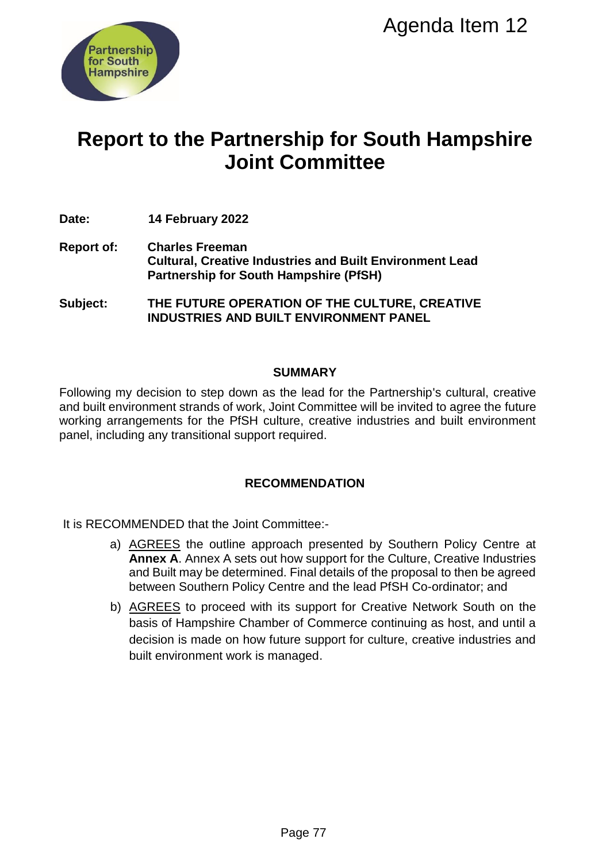

# **Report to the Partnership for South Hampshire Joint Committee**

- **Date: 14 February 2022**
- **Report of: Charles Freeman Cultural, Creative Industries and Built Environment Lead Partnership for South Hampshire (PfSH)**

**Subject: THE FUTURE OPERATION OF THE CULTURE, CREATIVE INDUSTRIES AND BUILT ENVIRONMENT PANEL**

#### **SUMMARY**

Following my decision to step down as the lead for the Partnership's cultural, creative and built environment strands of work, Joint Committee will be invited to agree the future working arrangements for the PfSH culture, creative industries and built environment panel, including any transitional support required.

# **RECOMMENDATION**

It is RECOMMENDED that the Joint Committee:-

- a) AGREES the outline approach presented by Southern Policy Centre at **Annex A**. Annex A sets out how support for the Culture, Creative Industries and Built may be determined. Final details of the proposal to then be agreed between Southern Policy Centre and the lead PfSH Co-ordinator; and
- b) AGREES to proceed with its support for Creative Network South on the basis of Hampshire Chamber of Commerce continuing as host, and until a decision is made on how future support for culture, creative industries and built environment work is managed. Agenda Item 12<br>
Ship for South Hampshire<br>
Ship for South Hampshire<br>
Ship for South Hampshire<br>
Strives and Built Environment Lead<br>
Hampshire (PfSH)<br>
IN NOR OF THE CULTURE, CREATIVE<br>
TENVIRONMENT PANEL<br>
IN MMARY<br>
the lead fo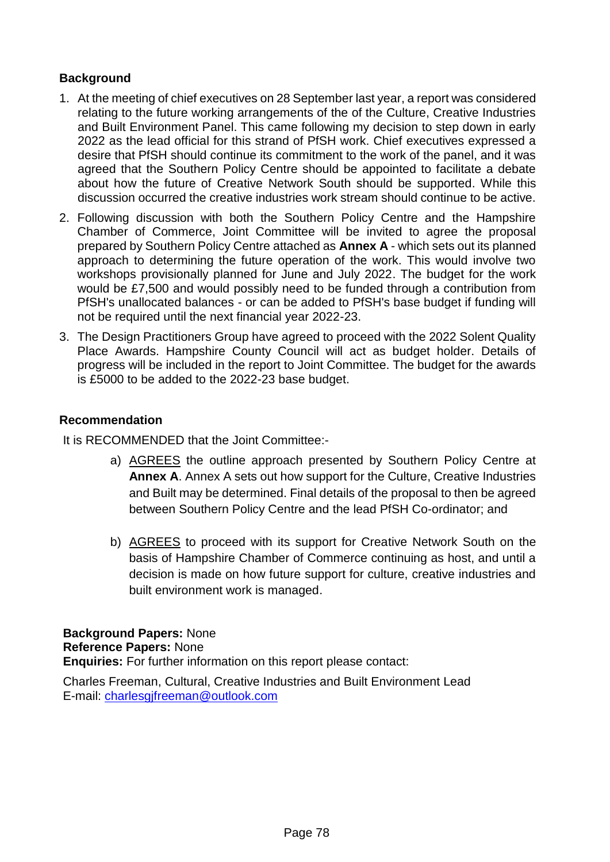# **Background**

- 1. At the meeting of chief executives on 28 September last year, a report was considered relating to the future working arrangements of the of the Culture, Creative Industries and Built Environment Panel. This came following my decision to step down in early 2022 as the lead official for this strand of PfSH work. Chief executives expressed a desire that PfSH should continue its commitment to the work of the panel, and it was agreed that the Southern Policy Centre should be appointed to facilitate a debate about how the future of Creative Network South should be supported. While this discussion occurred the creative industries work stream should continue to be active.
- 2. Following discussion with both the Southern Policy Centre and the Hampshire Chamber of Commerce, Joint Committee will be invited to agree the proposal prepared by Southern Policy Centre attached as **Annex A** - which sets out its planned approach to determining the future operation of the work. This would involve two workshops provisionally planned for June and July 2022. The budget for the work would be £7,500 and would possibly need to be funded through a contribution from PfSH's unallocated balances - or can be added to PfSH's base budget if funding will not be required until the next financial year 2022-23.
- 3. The Design Practitioners Group have agreed to proceed with the 2022 Solent Quality Place Awards. Hampshire County Council will act as budget holder. Details of progress will be included in the report to Joint Committee. The budget for the awards is £5000 to be added to the 2022-23 base budget.

#### **Recommendation**

It is RECOMMENDED that the Joint Committee:-

- a) AGREES the outline approach presented by Southern Policy Centre at **Annex A**. Annex A sets out how support for the Culture, Creative Industries and Built may be determined. Final details of the proposal to then be agreed between Southern Policy Centre and the lead PfSH Co-ordinator; and
- b) AGREES to proceed with its support for Creative Network South on the basis of Hampshire Chamber of Commerce continuing as host, and until a decision is made on how future support for culture, creative industries and built environment work is managed.

**Background Papers:** None **Reference Papers:** None **Enquiries:** For further information on this report please contact:

Charles Freeman, Cultural, Creative Industries and Built Environment Lead E-mail: [charlesgjfreeman@outlook.com](mailto:charlesgjfreeman@outlook.com)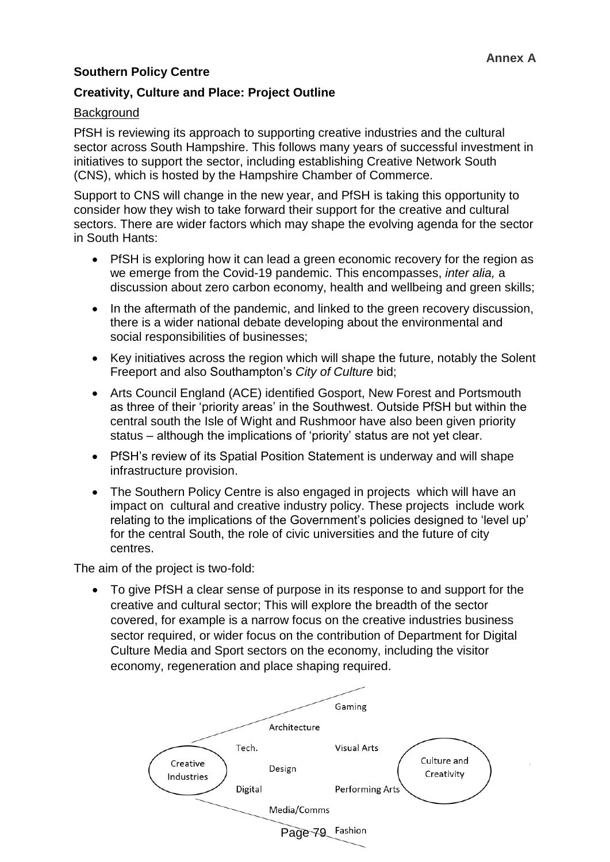# **Southern Policy Centre**

## **Creativity, Culture and Place: Project Outline**

## **Background**

PfSH is reviewing its approach to supporting creative industries and the cultural sector across South Hampshire. This follows many years of successful investment in initiatives to support the sector, including establishing Creative Network South (CNS), which is hosted by the Hampshire Chamber of Commerce.

Support to CNS will change in the new year, and PfSH is taking this opportunity to consider how they wish to take forward their support for the creative and cultural sectors. There are wider factors which may shape the evolving agenda for the sector in South Hants:

- PfSH is exploring how it can lead a green economic recovery for the region as we emerge from the Covid-19 pandemic. This encompasses, *inter alia,* a discussion about zero carbon economy, health and wellbeing and green skills;
- In the aftermath of the pandemic, and linked to the green recovery discussion, there is a wider national debate developing about the environmental and social responsibilities of businesses;
- Key initiatives across the region which will shape the future, notably the Solent Freeport and also Southampton's *City of Culture* bid;
- Arts Council England (ACE) identified Gosport, New Forest and Portsmouth as three of their 'priority areas' in the Southwest. Outside PfSH but within the central south the Isle of Wight and Rushmoor have also been given priority status – although the implications of 'priority' status are not yet clear.
- PfSH's review of its Spatial Position Statement is underway and will shape infrastructure provision.
- The Southern Policy Centre is also engaged in projects which will have an impact on cultural and creative industry policy. These projects include work relating to the implications of the Government's policies designed to 'level up' for the central South, the role of civic universities and the future of city centres.

The aim of the project is two-fold:

 To give PfSH a clear sense of purpose in its response to and support for the creative and cultural sector; This will explore the breadth of the sector covered, for example is a narrow focus on the creative industries business sector required, or wider focus on the contribution of Department for Digital Culture Media and Sport sectors on the economy, including the visitor economy, regeneration and place shaping required.

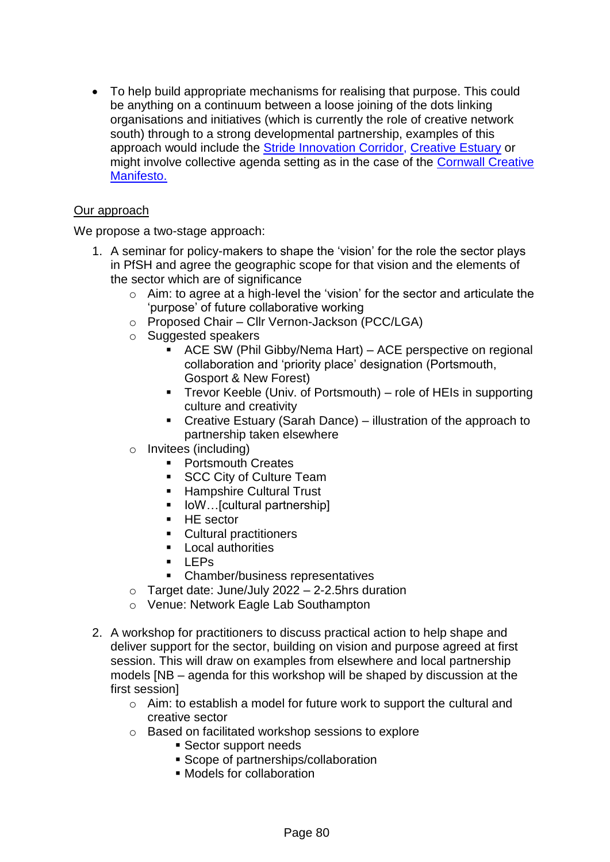To help build appropriate mechanisms for realising that purpose. This could be anything on a continuum between a loose joining of the dots linking organisations and initiatives (which is currently the role of creative network south) through to a strong developmental partnership, examples of this approach would include [the Stride Innovation Corridor,](https://stride.london/) [Creative Estuary](https://www.creativeestuary.com/) or might involve collective agenda setting as in the case of the [Cornwall Creative](https://www.cornwall.gov.uk/parks-leisure-and-culture/culture-and-creative-economy/creative-manifesto-2021-2025/)  [Manifesto.](https://www.cornwall.gov.uk/parks-leisure-and-culture/culture-and-creative-economy/creative-manifesto-2021-2025/)

# Our approach

We propose a two-stage approach:

- 1. A seminar for policy-makers to shape the 'vision' for the role the sector plays in PfSH and agree the geographic scope for that vision and the elements of the sector which are of significance
	- o Aim: to agree at a high-level the 'vision' for the sector and articulate the 'purpose' of future collaborative working
	- o Proposed Chair Cllr Vernon-Jackson (PCC/LGA)
	- o Suggested speakers
		- ACE SW (Phil Gibby/Nema Hart) ACE perspective on regional collaboration and 'priority place' designation (Portsmouth, Gosport & New Forest)
		- Trevor Keeble (Univ. of Portsmouth) role of HEIs in supporting culture and creativity
		- Creative Estuary (Sarah Dance) illustration of the approach to partnership taken elsewhere
	- o Invitees (including)
		- **Portsmouth Creates**
		- **SCC City of Culture Team**
		- **Hampshire Cultural Trust**
		- IoW…[cultural partnership]
		- $H<sub>E</sub>$  sector
		- **Cultural practitioners**
		- **Local authorities**
		- $LEPs$
		- Chamber/business representatives
	- $\circ$  Target date: June/July 2022 2-2.5hrs duration
	- o Venue: Network Eagle Lab Southampton
- 2. A workshop for practitioners to discuss practical action to help shape and deliver support for the sector, building on vision and purpose agreed at first session. This will draw on examples from elsewhere and local partnership models [NB – agenda for this workshop will be shaped by discussion at the first session]
	- $\circ$  Aim: to establish a model for future work to support the cultural and creative sector
	- o Based on facilitated workshop sessions to explore
		- Sector support needs
		- **Scope of partnerships/collaboration**
		- Models for collaboration